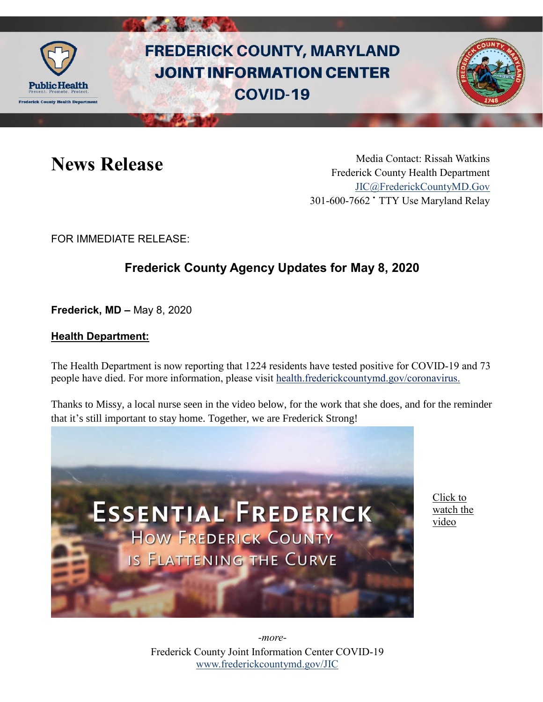

# **FREDERICK COUNTY, MARYLAND JOINT INFORMATION CENTER COVID-19**



**News Release** Media Contact: Rissah Watkins Frederick County Health Department [JIC@FrederickCountyMD.Gov](mailto:JIC@FrederickCountyMD.Gov) 301-600-7662 • TTY Use Maryland Relay

FOR IMMEDIATE RELEASE:

## **Frederick County Agency Updates for May 8, 2020**

**Frederick, MD –** May 8, 2020

### **Health Department:**

The Health Department is now reporting that 1224 residents have tested positive for COVID-19 and 73 people have died. For more information, please visit [health.frederickcountymd.gov/coronavirus.](https://health.frederickcountymd.gov/614/Novel-Coronavirus-COVID-19)

Thanks to Missy, a local nurse seen in the video below, for the work that she does, and for the reminder that it's still important to stay home. Together, we are Frederick Strong!



[Click to](https://youtu.be/glGXlxy2X5k)  [watch the](https://youtu.be/glGXlxy2X5k)  [video](https://youtu.be/glGXlxy2X5k)

Frederick County Joint Information Center COVID-19 [www.frederickcountymd.gov/JIC](https://frederickcountymd.gov/JIC) *-more-*